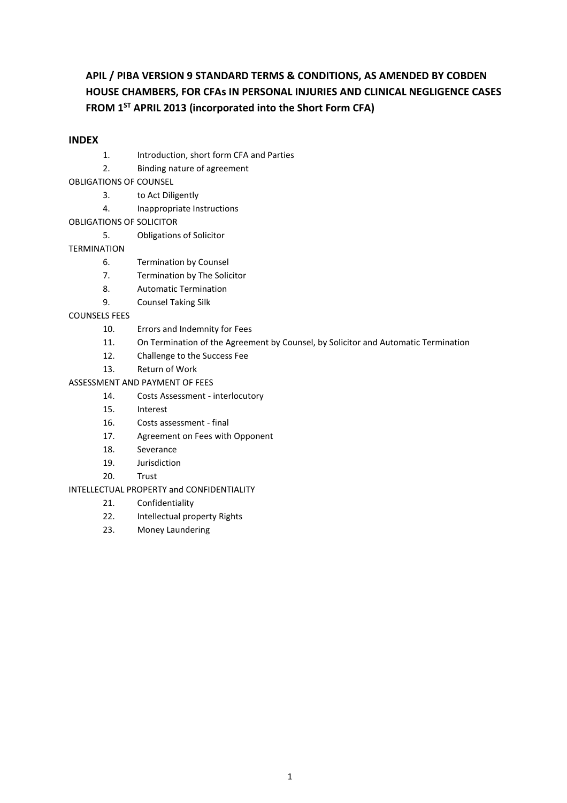# **APIL / PIBA VERSION 9 STANDARD TERMS & CONDITIONS, AS AMENDED BY COBDEN HOUSE CHAMBERS, FOR CFAs IN PERSONAL INJURIES AND CLINICAL NEGLIGENCE CASES FROM 1ST APRIL 2013 (incorporated into the Short Form CFA)**

#### **INDEX**

- 1. Introduction, short form CFA and Parties
- 2. Binding nature of agreement
- OBLIGATIONS OF COUNSEL
	- 3. to Act Diligently
	- 4. Inappropriate Instructions
- OBLIGATIONS OF SOLICITOR
	- 5. Obligations of Solicitor

#### TERMINATION

- 6. Termination by Counsel
- 7. Termination by The Solicitor
- 8. Automatic Termination
- 9. Counsel Taking Silk

#### COUNSELS FEES

- 10. Errors and Indemnity for Fees
- 11. On Termination of the Agreement by Counsel, by Solicitor and Automatic Termination
- 12. Challenge to the Success Fee
- 13. Return of Work
- ASSESSMENT AND PAYMENT OF FEES
	- 14. Costs Assessment interlocutory
	- 15. Interest
	- 16. Costs assessment final
	- 17. Agreement on Fees with Opponent
	- 18. Severance
	- 19. Jurisdiction
	- 20. Trust

#### INTELLECTUAL PROPERTY and CONFIDENTIALITY

- 21. Confidentiality
- 22. Intellectual property Rights
- 23. Money Laundering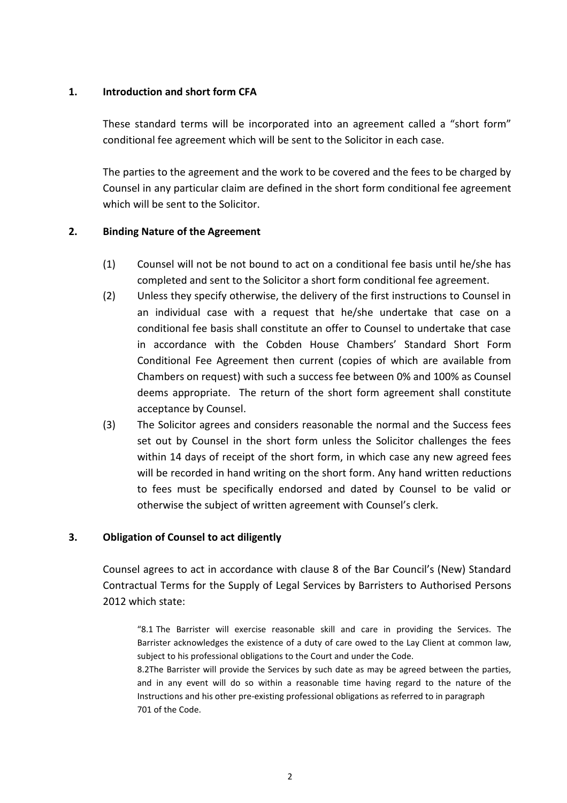## **1. Introduction and short form CFA**

These standard terms will be incorporated into an agreement called a "short form" conditional fee agreement which will be sent to the Solicitor in each case.

The parties to the agreement and the work to be covered and the fees to be charged by Counsel in any particular claim are defined in the short form conditional fee agreement which will be sent to the Solicitor.

## **2. Binding Nature of the Agreement**

- (1) Counsel will not be not bound to act on a conditional fee basis until he/she has completed and sent to the Solicitor a short form conditional fee agreement.
- (2) Unless they specify otherwise, the delivery of the first instructions to Counsel in an individual case with a request that he/she undertake that case on a conditional fee basis shall constitute an offer to Counsel to undertake that case in accordance with the Cobden House Chambers' Standard Short Form Conditional Fee Agreement then current (copies of which are available from Chambers on request) with such a success fee between 0% and 100% as Counsel deems appropriate. The return of the short form agreement shall constitute acceptance by Counsel.
- (3) The Solicitor agrees and considers reasonable the normal and the Success fees set out by Counsel in the short form unless the Solicitor challenges the fees within 14 days of receipt of the short form, in which case any new agreed fees will be recorded in hand writing on the short form. Any hand written reductions to fees must be specifically endorsed and dated by Counsel to be valid or otherwise the subject of written agreement with Counsel's clerk.

#### **3. Obligation of Counsel to act diligently**

Counsel agrees to act in accordance with clause 8 of the Bar Council's (New) Standard Contractual Terms for the Supply of Legal Services by Barristers to Authorised Persons 2012 which state:

"8.1 The Barrister will exercise reasonable skill and care in providing the Services. The Barrister acknowledges the existence of a duty of care owed to the Lay Client at common law, subject to his professional obligations to the Court and under the Code.

8.2The Barrister will provide the Services by such date as may be agreed between the parties, and in any event will do so within a reasonable time having regard to the nature of the Instructions and his other pre‐existing professional obligations as referred to in paragraph 701 of the Code.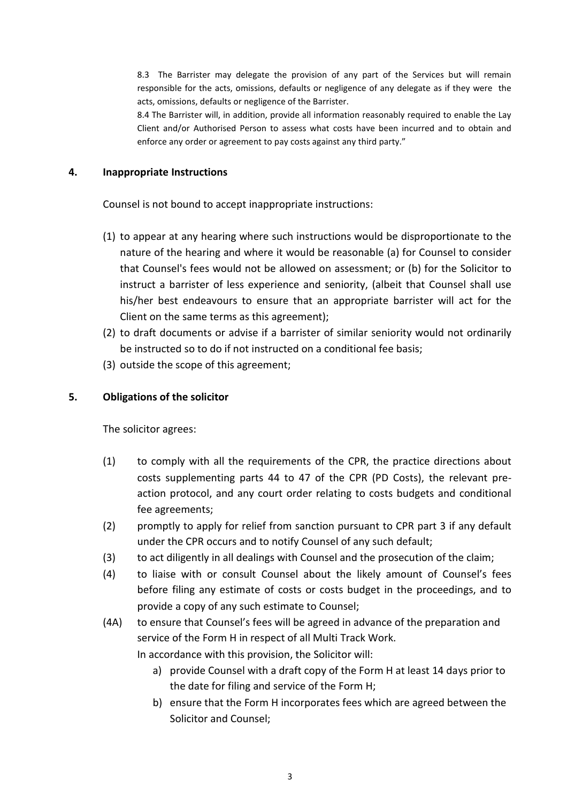8.3 The Barrister may delegate the provision of any part of the Services but will remain responsible for the acts, omissions, defaults or negligence of any delegate as if they were the acts, omissions, defaults or negligence of the Barrister.

8.4 The Barrister will, in addition, provide all information reasonably required to enable the Lay Client and/or Authorised Person to assess what costs have been incurred and to obtain and enforce any order or agreement to pay costs against any third party."

#### **4. Inappropriate Instructions**

Counsel is not bound to accept inappropriate instructions:

- (1) to appear at any hearing where such instructions would be disproportionate to the nature of the hearing and where it would be reasonable (a) for Counsel to consider that Counsel's fees would not be allowed on assessment; or (b) for the Solicitor to instruct a barrister of less experience and seniority, (albeit that Counsel shall use his/her best endeavours to ensure that an appropriate barrister will act for the Client on the same terms as this agreement);
- (2) to draft documents or advise if a barrister of similar seniority would not ordinarily be instructed so to do if not instructed on a conditional fee basis;
- (3) outside the scope of this agreement;

## **5. Obligations of the solicitor**

The solicitor agrees:

- (1) to comply with all the requirements of the CPR, the practice directions about costs supplementing parts 44 to 47 of the CPR (PD Costs), the relevant preaction protocol, and any court order relating to costs budgets and conditional fee agreements;
- (2) promptly to apply for relief from sanction pursuant to CPR part 3 if any default under the CPR occurs and to notify Counsel of any such default;
- (3) to act diligently in all dealings with Counsel and the prosecution of the claim;
- (4) to liaise with or consult Counsel about the likely amount of Counsel's fees before filing any estimate of costs or costs budget in the proceedings, and to provide a copy of any such estimate to Counsel;
- (4A) to ensure that Counsel's fees will be agreed in advance of the preparation and service of the Form H in respect of all Multi Track Work. In accordance with this provision, the Solicitor will:
	- a) provide Counsel with a draft copy of the Form H at least 14 days prior to the date for filing and service of the Form H;
	- b) ensure that the Form H incorporates fees which are agreed between the Solicitor and Counsel;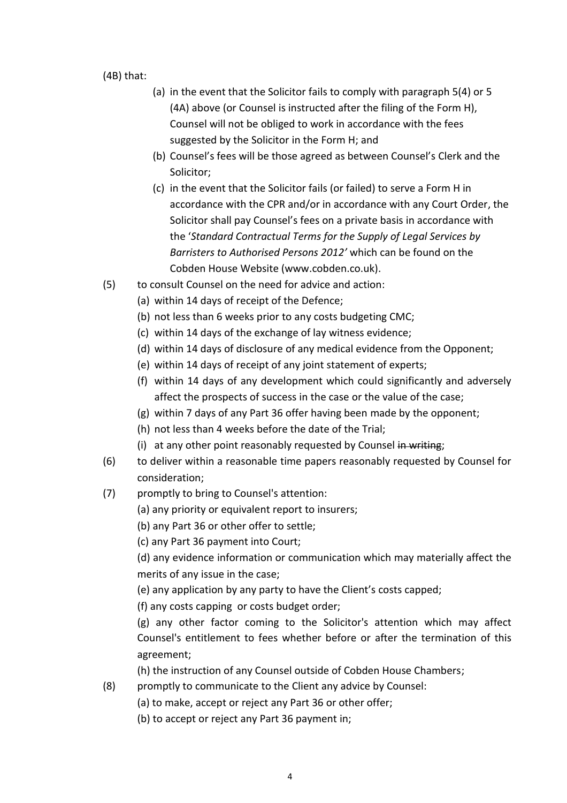(4B) that:

- (a) in the event that the Solicitor fails to comply with paragraph 5(4) or 5 (4A) above (or Counsel is instructed after the filing of the Form H), Counsel will not be obliged to work in accordance with the fees suggested by the Solicitor in the Form H; and
- (b) Counsel's fees will be those agreed as between Counsel's Clerk and the Solicitor;
- (c) in the event that the Solicitor fails (or failed) to serve a Form H in accordance with the CPR and/or in accordance with any Court Order, the Solicitor shall pay Counsel's fees on a private basis in accordance with the '*Standard Contractual Terms for the Supply of Legal Services by Barristers to Authorised Persons 2012'* which can be found on the Cobden House Website (www.cobden.co.uk).
- (5) to consult Counsel on the need for advice and action:
	- (a) within 14 days of receipt of the Defence;
	- (b) not less than 6 weeks prior to any costs budgeting CMC;
	- (c) within 14 days of the exchange of lay witness evidence;
	- (d) within 14 days of disclosure of any medical evidence from the Opponent;
	- (e) within 14 days of receipt of any joint statement of experts;
	- (f) within 14 days of any development which could significantly and adversely affect the prospects of success in the case or the value of the case;
	- (g) within 7 days of any Part 36 offer having been made by the opponent;
	- (h) not less than 4 weeks before the date of the Trial;
	- (i) at any other point reasonably requested by Counsel in writing;
- (6) to deliver within a reasonable time papers reasonably requested by Counsel for consideration;
- (7) promptly to bring to Counsel's attention:
	- (a) any priority or equivalent report to insurers;
	- (b) any Part 36 or other offer to settle;
	- (c) any Part 36 payment into Court;

(d) any evidence information or communication which may materially affect the merits of any issue in the case;

(e) any application by any party to have the Client's costs capped;

(f) any costs capping or costs budget order;

(g) any other factor coming to the Solicitor's attention which may affect Counsel's entitlement to fees whether before or after the termination of this agreement;

(h) the instruction of any Counsel outside of Cobden House Chambers;

- (8) promptly to communicate to the Client any advice by Counsel:
	- (a) to make, accept or reject any Part 36 or other offer;
	- (b) to accept or reject any Part 36 payment in;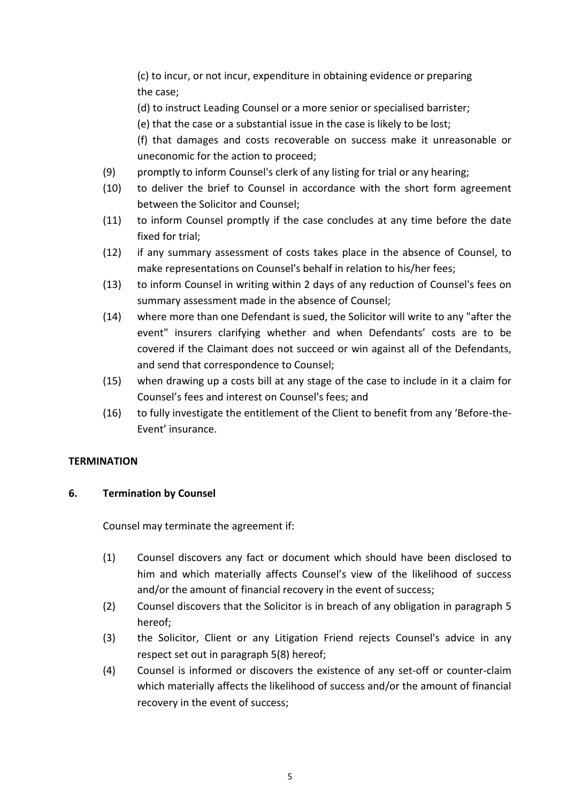(c) to incur, or not incur, expenditure in obtaining evidence or preparing the case;

(d) to instruct Leading Counsel or a more senior or specialised barrister;

(e) that the case or a substantial issue in the case is likely to be lost;

(f) that damages and costs recoverable on success make it unreasonable or uneconomic for the action to proceed;

- (9) promptly to inform Counsel's clerk of any listing for trial or any hearing;
- (10) to deliver the brief to Counsel in accordance with the short form agreement between the Solicitor and Counsel;
- (11) to inform Counsel promptly if the case concludes at any time before the date fixed for trial;
- (12) if any summary assessment of costs takes place in the absence of Counsel, to make representations on Counsel's behalf in relation to his/her fees;
- (13) to inform Counsel in writing within 2 days of any reduction of Counsel's fees on summary assessment made in the absence of Counsel;
- (14) where more than one Defendant is sued, the Solicitor will write to any "after the event" insurers clarifying whether and when Defendants' costs are to be covered if the Claimant does not succeed or win against all of the Defendants, and send that correspondence to Counsel;
- (15) when drawing up a costs bill at any stage of the case to include in it a claim for Counsel's fees and interest on Counsel's fees; and
- (16) to fully investigate the entitlement of the Client to benefit from any 'Before-the-Event' insurance.

## **TERMINATION**

## **6. Termination by Counsel**

Counsel may terminate the agreement if:

- (1) Counsel discovers any fact or document which should have been disclosed to him and which materially affects Counsel's view of the likelihood of success and/or the amount of financial recovery in the event of success;
- (2) Counsel discovers that the Solicitor is in breach of any obligation in paragraph 5 hereof;
- (3) the Solicitor, Client or any Litigation Friend rejects Counsel's advice in any respect set out in paragraph 5(8) hereof;
- (4) Counsel is informed or discovers the existence of any set-off or counter-claim which materially affects the likelihood of success and/or the amount of financial recovery in the event of success;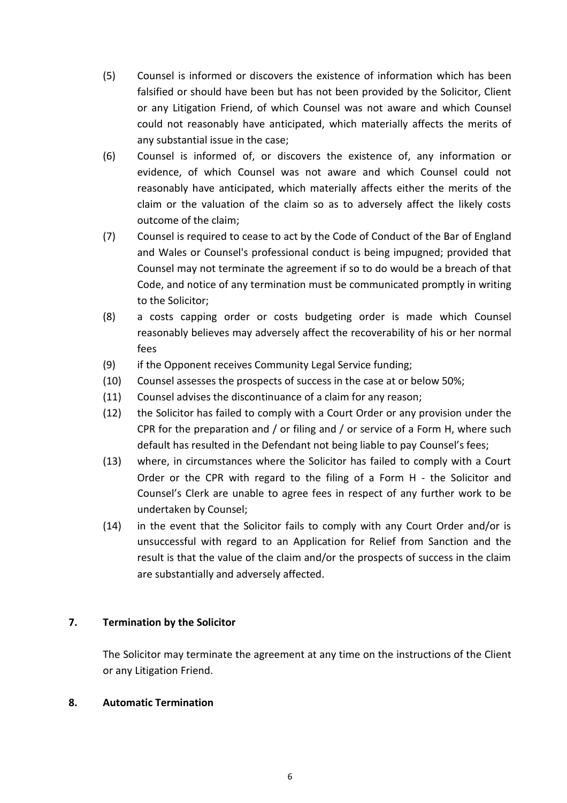- (5) Counsel is informed or discovers the existence of information which has been falsified or should have been but has not been provided by the Solicitor, Client or any Litigation Friend, of which Counsel was not aware and which Counsel could not reasonably have anticipated, which materially affects the merits of any substantial issue in the case;
- (6) Counsel is informed of, or discovers the existence of, any information or evidence, of which Counsel was not aware and which Counsel could not reasonably have anticipated, which materially affects either the merits of the claim or the valuation of the claim so as to adversely affect the likely costs outcome of the claim;
- (7) Counsel is required to cease to act by the Code of Conduct of the Bar of England and Wales or Counsel's professional conduct is being impugned; provided that Counsel may not terminate the agreement if so to do would be a breach of that Code, and notice of any termination must be communicated promptly in writing to the Solicitor;
- (8) a costs capping order or costs budgeting order is made which Counsel reasonably believes may adversely affect the recoverability of his or her normal fees
- (9) if the Opponent receives Community Legal Service funding;
- (10) Counsel assesses the prospects of success in the case at or below 50%;
- (11) Counsel advises the discontinuance of a claim for any reason;
- (12) the Solicitor has failed to comply with a Court Order or any provision under the CPR for the preparation and / or filing and / or service of a Form H, where such default has resulted in the Defendant not being liable to pay Counsel's fees;
- (13) where, in circumstances where the Solicitor has failed to comply with a Court Order or the CPR with regard to the filing of a Form H - the Solicitor and Counsel's Clerk are unable to agree fees in respect of any further work to be undertaken by Counsel;
- (14) in the event that the Solicitor fails to comply with any Court Order and/or is unsuccessful with regard to an Application for Relief from Sanction and the result is that the value of the claim and/or the prospects of success in the claim are substantially and adversely affected.

## **7. Termination by the Solicitor**

The Solicitor may terminate the agreement at any time on the instructions of the Client or any Litigation Friend.

#### **8. Automatic Termination**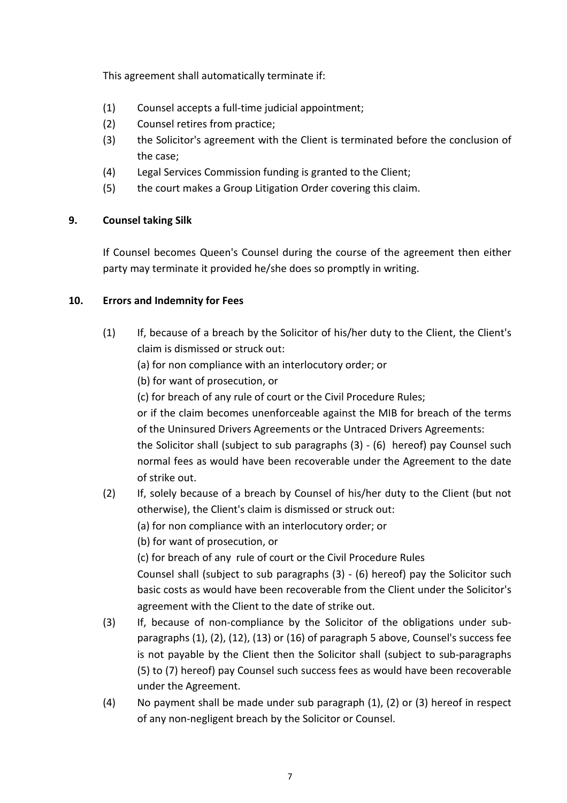This agreement shall automatically terminate if:

- (1) Counsel accepts a full-time judicial appointment;
- (2) Counsel retires from practice;
- (3) the Solicitor's agreement with the Client is terminated before the conclusion of the case;
- (4) Legal Services Commission funding is granted to the Client;
- (5) the court makes a Group Litigation Order covering this claim.

## **9. Counsel taking Silk**

If Counsel becomes Queen's Counsel during the course of the agreement then either party may terminate it provided he/she does so promptly in writing.

## **10. Errors and Indemnity for Fees**

(1) If, because of a breach by the Solicitor of his/her duty to the Client, the Client's claim is dismissed or struck out:

(a) for non compliance with an interlocutory order; or

(b) for want of prosecution, or

(c) for breach of any rule of court or the Civil Procedure Rules;

or if the claim becomes unenforceable against the MIB for breach of the terms of the Uninsured Drivers Agreements or the Untraced Drivers Agreements:

the Solicitor shall (subject to sub paragraphs (3) - (6) hereof) pay Counsel such normal fees as would have been recoverable under the Agreement to the date of strike out.

(2) If, solely because of a breach by Counsel of his/her duty to the Client (but not otherwise), the Client's claim is dismissed or struck out:

(a) for non compliance with an interlocutory order; or

(b) for want of prosecution, or

(c) for breach of any rule of court or the Civil Procedure Rules

Counsel shall (subject to sub paragraphs (3) - (6) hereof) pay the Solicitor such basic costs as would have been recoverable from the Client under the Solicitor's agreement with the Client to the date of strike out.

- (3) If, because of non-compliance by the Solicitor of the obligations under subparagraphs (1), (2), (12), (13) or (16) of paragraph 5 above, Counsel's success fee is not payable by the Client then the Solicitor shall (subject to sub-paragraphs (5) to (7) hereof) pay Counsel such success fees as would have been recoverable under the Agreement.
- (4) No payment shall be made under sub paragraph (1), (2) or (3) hereof in respect of any non-negligent breach by the Solicitor or Counsel.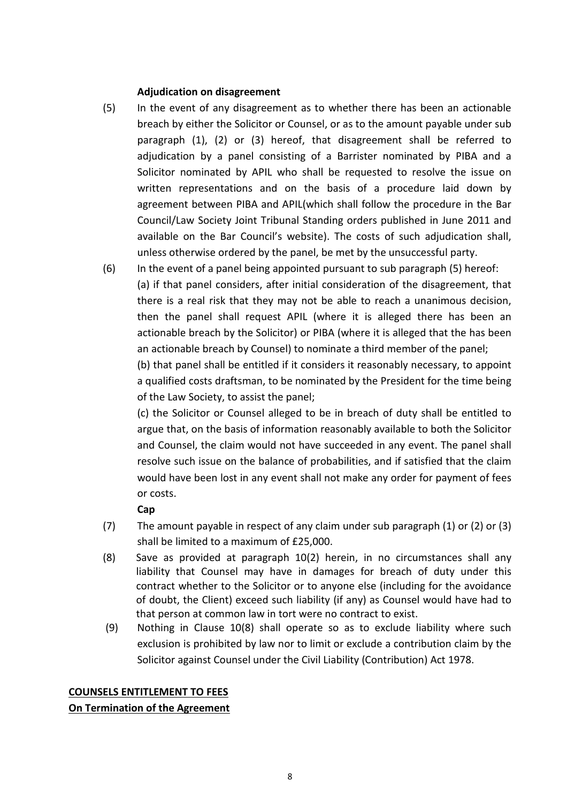#### **Adjudication on disagreement**

- (5) In the event of any disagreement as to whether there has been an actionable breach by either the Solicitor or Counsel, or as to the amount payable under sub paragraph (1), (2) or (3) hereof, that disagreement shall be referred to adjudication by a panel consisting of a Barrister nominated by PIBA and a Solicitor nominated by APIL who shall be requested to resolve the issue on written representations and on the basis of a procedure laid down by agreement between PIBA and APIL(which shall follow the procedure in the Bar Council/Law Society Joint Tribunal Standing orders published in June 2011 and available on the Bar Council's website). The costs of such adjudication shall, unless otherwise ordered by the panel, be met by the unsuccessful party.
- (6) In the event of a panel being appointed pursuant to sub paragraph (5) hereof: (a) if that panel considers, after initial consideration of the disagreement, that there is a real risk that they may not be able to reach a unanimous decision, then the panel shall request APIL (where it is alleged there has been an actionable breach by the Solicitor) or PIBA (where it is alleged that the has been an actionable breach by Counsel) to nominate a third member of the panel;

(b) that panel shall be entitled if it considers it reasonably necessary, to appoint a qualified costs draftsman, to be nominated by the President for the time being of the Law Society, to assist the panel;

(c) the Solicitor or Counsel alleged to be in breach of duty shall be entitled to argue that, on the basis of information reasonably available to both the Solicitor and Counsel, the claim would not have succeeded in any event. The panel shall resolve such issue on the balance of probabilities, and if satisfied that the claim would have been lost in any event shall not make any order for payment of fees or costs.

## **Cap**

- (7) The amount payable in respect of any claim under sub paragraph (1) or (2) or (3) shall be limited to a maximum of £25,000.
- (8) Save as provided at paragraph 10(2) herein, in no circumstances shall any liability that Counsel may have in damages for breach of duty under this contract whether to the Solicitor or to anyone else (including for the avoidance of doubt, the Client) exceed such liability (if any) as Counsel would have had to that person at common law in tort were no contract to exist.
- (9) Nothing in Clause 10(8) shall operate so as to exclude liability where such exclusion is prohibited by law nor to limit or exclude a contribution claim by the Solicitor against Counsel under the Civil Liability (Contribution) Act 1978.

# **COUNSELS ENTITLEMENT TO FEES**

## **On Termination of the Agreement**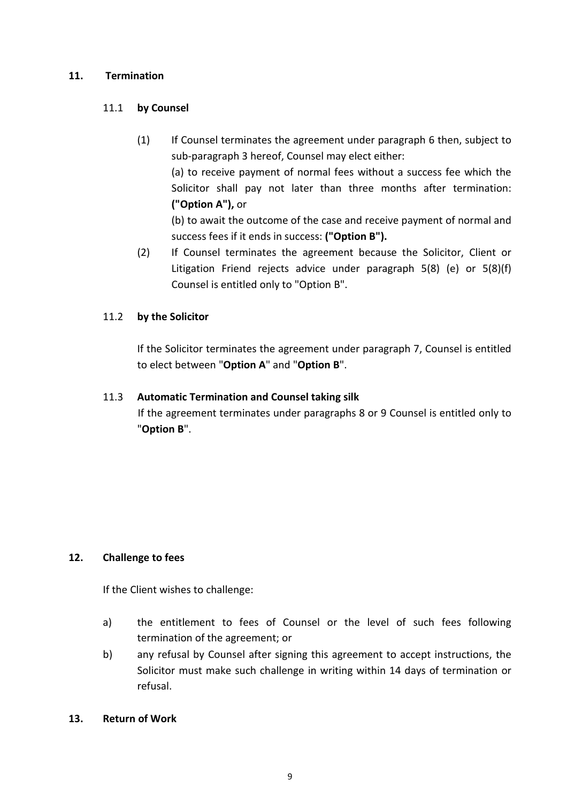## **11. Termination**

## 11.1 **by Counsel**

(1) If Counsel terminates the agreement under paragraph 6 then, subject to sub-paragraph 3 hereof, Counsel may elect either: (a) to receive payment of normal fees without a success fee which the Solicitor shall pay not later than three months after termination: **("Option A"),** or

(b) to await the outcome of the case and receive payment of normal and success fees if it ends in success: **("Option B").**

(2) If Counsel terminates the agreement because the Solicitor, Client or Litigation Friend rejects advice under paragraph 5(8) (e) or 5(8)(f) Counsel is entitled only to "Option B".

## 11.2 **by the Solicitor**

If the Solicitor terminates the agreement under paragraph 7, Counsel is entitled to elect between "**Option A**" and "**Option B**".

## 11.3 **Automatic Termination and Counsel taking silk**

If the agreement terminates under paragraphs 8 or 9 Counsel is entitled only to "**Option B**".

## **12. Challenge to fees**

If the Client wishes to challenge:

- a) the entitlement to fees of Counsel or the level of such fees following termination of the agreement; or
- b) any refusal by Counsel after signing this agreement to accept instructions, the Solicitor must make such challenge in writing within 14 days of termination or refusal.

#### **13. Return of Work**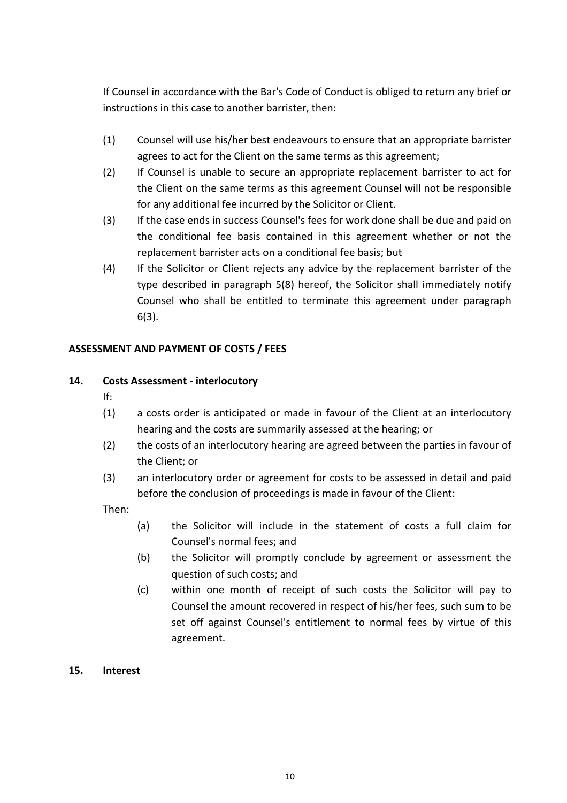If Counsel in accordance with the Bar's Code of Conduct is obliged to return any brief or instructions in this case to another barrister, then:

- (1) Counsel will use his/her best endeavours to ensure that an appropriate barrister agrees to act for the Client on the same terms as this agreement;
- (2) If Counsel is unable to secure an appropriate replacement barrister to act for the Client on the same terms as this agreement Counsel will not be responsible for any additional fee incurred by the Solicitor or Client.
- (3) If the case ends in success Counsel's fees for work done shall be due and paid on the conditional fee basis contained in this agreement whether or not the replacement barrister acts on a conditional fee basis; but
- (4) If the Solicitor or Client rejects any advice by the replacement barrister of the type described in paragraph 5(8) hereof, the Solicitor shall immediately notify Counsel who shall be entitled to terminate this agreement under paragraph 6(3).

# **ASSESSMENT AND PAYMENT OF COSTS / FEES**

# **14. Costs Assessment - interlocutory**

- If:
- (1) a costs order is anticipated or made in favour of the Client at an interlocutory hearing and the costs are summarily assessed at the hearing; or
- (2) the costs of an interlocutory hearing are agreed between the parties in favour of the Client; or
- (3) an interlocutory order or agreement for costs to be assessed in detail and paid before the conclusion of proceedings is made in favour of the Client:

Then:

- (a) the Solicitor will include in the statement of costs a full claim for Counsel's normal fees; and
- (b) the Solicitor will promptly conclude by agreement or assessment the question of such costs; and
- (c) within one month of receipt of such costs the Solicitor will pay to Counsel the amount recovered in respect of his/her fees, such sum to be set off against Counsel's entitlement to normal fees by virtue of this agreement.

## **15. Interest**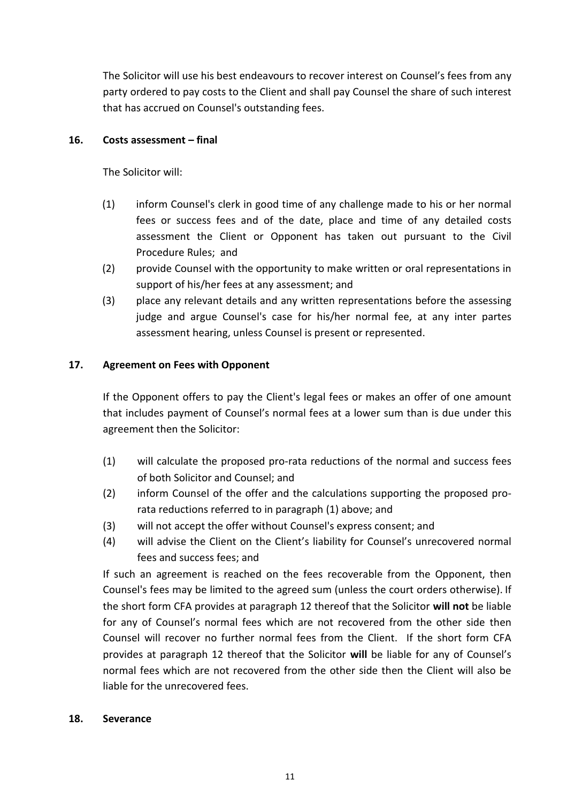The Solicitor will use his best endeavours to recover interest on Counsel's fees from any party ordered to pay costs to the Client and shall pay Counsel the share of such interest that has accrued on Counsel's outstanding fees.

## **16. Costs assessment – final**

The Solicitor will:

- (1) inform Counsel's clerk in good time of any challenge made to his or her normal fees or success fees and of the date, place and time of any detailed costs assessment the Client or Opponent has taken out pursuant to the Civil Procedure Rules; and
- (2) provide Counsel with the opportunity to make written or oral representations in support of his/her fees at any assessment; and
- (3) place any relevant details and any written representations before the assessing judge and argue Counsel's case for his/her normal fee, at any inter partes assessment hearing, unless Counsel is present or represented.

# **17. Agreement on Fees with Opponent**

If the Opponent offers to pay the Client's legal fees or makes an offer of one amount that includes payment of Counsel's normal fees at a lower sum than is due under this agreement then the Solicitor:

- (1) will calculate the proposed pro-rata reductions of the normal and success fees of both Solicitor and Counsel; and
- (2) inform Counsel of the offer and the calculations supporting the proposed prorata reductions referred to in paragraph (1) above; and
- (3) will not accept the offer without Counsel's express consent; and
- (4) will advise the Client on the Client's liability for Counsel's unrecovered normal fees and success fees; and

If such an agreement is reached on the fees recoverable from the Opponent, then Counsel's fees may be limited to the agreed sum (unless the court orders otherwise). If the short form CFA provides at paragraph 12 thereof that the Solicitor **will not** be liable for any of Counsel's normal fees which are not recovered from the other side then Counsel will recover no further normal fees from the Client. If the short form CFA provides at paragraph 12 thereof that the Solicitor **will** be liable for any of Counsel's normal fees which are not recovered from the other side then the Client will also be liable for the unrecovered fees.

#### **18. Severance**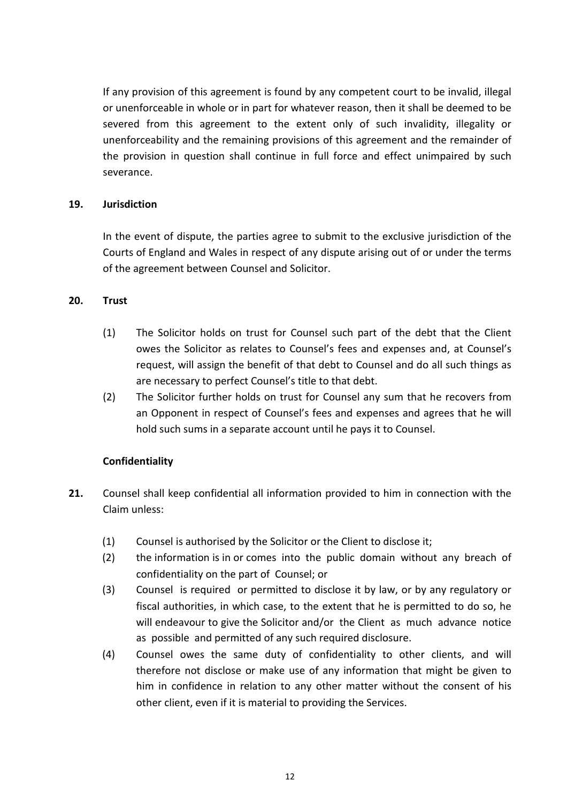If any provision of this agreement is found by any competent court to be invalid, illegal or unenforceable in whole or in part for whatever reason, then it shall be deemed to be severed from this agreement to the extent only of such invalidity, illegality or unenforceability and the remaining provisions of this agreement and the remainder of the provision in question shall continue in full force and effect unimpaired by such severance.

#### **19. Jurisdiction**

In the event of dispute, the parties agree to submit to the exclusive jurisdiction of the Courts of England and Wales in respect of any dispute arising out of or under the terms of the agreement between Counsel and Solicitor.

## **20. Trust**

- (1) The Solicitor holds on trust for Counsel such part of the debt that the Client owes the Solicitor as relates to Counsel's fees and expenses and, at Counsel's request, will assign the benefit of that debt to Counsel and do all such things as are necessary to perfect Counsel's title to that debt.
- (2) The Solicitor further holds on trust for Counsel any sum that he recovers from an Opponent in respect of Counsel's fees and expenses and agrees that he will hold such sums in a separate account until he pays it to Counsel.

## **Confidentiality**

- **21.** Counsel shall keep confidential all information provided to him in connection with the Claim unless:
	- (1) Counsel is authorised by the Solicitor or the Client to disclose it;
	- (2) the information is in or comes into the public domain without any breach of confidentiality on the part of Counsel; or
	- (3) Counsel is required or permitted to disclose it by law, or by any regulatory or fiscal authorities, in which case, to the extent that he is permitted to do so, he will endeavour to give the Solicitor and/or the Client as much advance notice as possible and permitted of any such required disclosure.
	- (4) Counsel owes the same duty of confidentiality to other clients, and will therefore not disclose or make use of any information that might be given to him in confidence in relation to any other matter without the consent of his other client, even if it is material to providing the Services.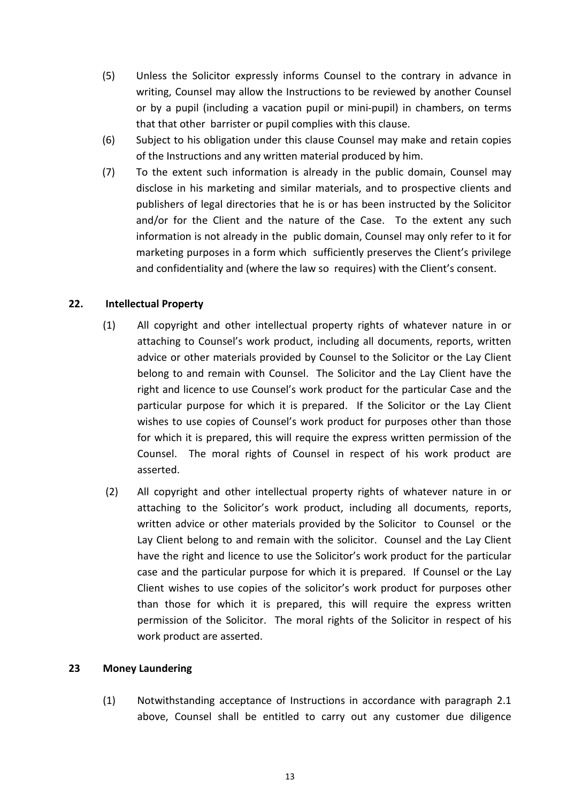- (5) Unless the Solicitor expressly informs Counsel to the contrary in advance in writing, Counsel may allow the Instructions to be reviewed by another Counsel or by a pupil (including a vacation pupil or mini‐pupil) in chambers, on terms that that other barrister or pupil complies with this clause.
- (6) Subject to his obligation under this clause Counsel may make and retain copies of the Instructions and any written material produced by him.
- (7) To the extent such information is already in the public domain, Counsel may disclose in his marketing and similar materials, and to prospective clients and publishers of legal directories that he is or has been instructed by the Solicitor and/or for the Client and the nature of the Case. To the extent any such information is not already in the public domain, Counsel may only refer to it for marketing purposes in a form which sufficiently preserves the Client's privilege and confidentiality and (where the law so requires) with the Client's consent.

## **22. Intellectual Property**

- (1) All copyright and other intellectual property rights of whatever nature in or attaching to Counsel's work product, including all documents, reports, written advice or other materials provided by Counsel to the Solicitor or the Lay Client belong to and remain with Counsel. The Solicitor and the Lay Client have the right and licence to use Counsel's work product for the particular Case and the particular purpose for which it is prepared. If the Solicitor or the Lay Client wishes to use copies of Counsel's work product for purposes other than those for which it is prepared, this will require the express written permission of the Counsel. The moral rights of Counsel in respect of his work product are asserted.
- (2) All copyright and other intellectual property rights of whatever nature in or attaching to the Solicitor's work product, including all documents, reports, written advice or other materials provided by the Solicitor to Counsel or the Lay Client belong to and remain with the solicitor. Counsel and the Lay Client have the right and licence to use the Solicitor's work product for the particular case and the particular purpose for which it is prepared. If Counsel or the Lay Client wishes to use copies of the solicitor's work product for purposes other than those for which it is prepared, this will require the express written permission of the Solicitor. The moral rights of the Solicitor in respect of his work product are asserted.

#### **23 Money Laundering**

(1) Notwithstanding acceptance of Instructions in accordance with paragraph 2.1 above, Counsel shall be entitled to carry out any customer due diligence